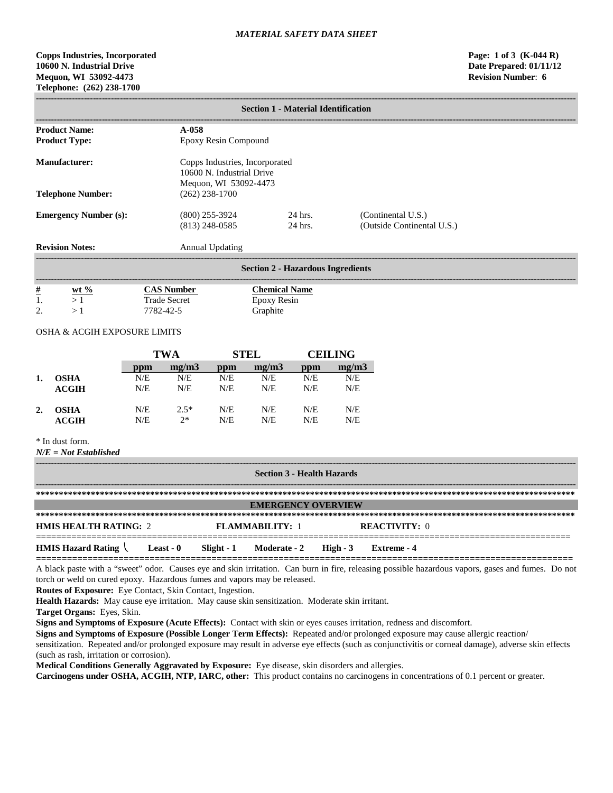# **Copps Industries, Incorporated Page: 1 of 3 (K-044 R) 10600 N. Industrial Drive Date Prepared**: **01/11/12 Mequon, WI 53092-4473 Revision Number**: **6 Telephone: (262) 238-1700**

|                                |                                          | <b>Section 1 - Material Identification</b>                  |                                                  |  |  |  |  |
|--------------------------------|------------------------------------------|-------------------------------------------------------------|--------------------------------------------------|--|--|--|--|
| <b>Product Name:</b>           | $A-0.58$                                 |                                                             |                                                  |  |  |  |  |
| <b>Product Type:</b>           | Epoxy Resin Compound                     |                                                             |                                                  |  |  |  |  |
| <b>Manufacturer:</b>           | Mequon, WI 53092-4473                    | Copps Industries, Incorporated<br>10600 N. Industrial Drive |                                                  |  |  |  |  |
| <b>Telephone Number:</b>       | $(262)$ 238-1700                         |                                                             |                                                  |  |  |  |  |
| <b>Emergency Number (s):</b>   | $(800)$ 255-3924<br>$(813)$ 248-0585     | 24 hrs.<br>24 hrs.                                          | (Continental U.S.)<br>(Outside Continental U.S.) |  |  |  |  |
| <b>Revision Notes:</b>         | <b>Annual Updating</b>                   |                                                             |                                                  |  |  |  |  |
|                                |                                          | <b>Section 2 - Hazardous Ingredients</b>                    |                                                  |  |  |  |  |
| $\frac{\#}{1}$<br>$wt %$<br>>1 | <b>CAS Number</b><br><b>Trade Secret</b> | <b>Chemical Name</b><br>Epoxy Resin                         |                                                  |  |  |  |  |

# OSHA & ACGIH EXPOSURE LIMITS

2.  $>1$  7782-42-5 Graphite

|    |             |     | <b>TWA</b> |     | <b>STEL</b> |     | <b>CEILING</b> |
|----|-------------|-----|------------|-----|-------------|-----|----------------|
|    |             | ppm | mg/m3      | ppm | mg/m3       | ppm | mg/m3          |
| 1. | <b>OSHA</b> | N/E | N/E        | N/E | N/E         | N/E | N/E            |
|    | ACGIH       | N/E | N/E        | N/E | N/E         | N/E | N/E            |
| 2. | <b>OSHA</b> | N/E | $2.5*$     | N/E | N/E         | N/E | N/E            |
|    | ACGIH       | N/E | $2*$       | N/E | N/E         | N/E | N/E            |

# \* In dust form.

*N/E = Not Established*

| <b>Section 3 - Health Hazards</b> |           |            |                        |           |                      |
|-----------------------------------|-----------|------------|------------------------|-----------|----------------------|
|                                   |           |            |                        |           |                      |
| <b>EMERGENCY OVERVIEW</b>         |           |            |                        |           |                      |
|                                   |           |            |                        |           |                      |
| <b>HMIS HEALTH RATING: 2</b>      |           |            | <b>FLAMMARILITY: 1</b> |           | <b>REACTIVITY:</b> 0 |
| <b>HMIS Hazard Rating</b>         | Least - 0 | Slight - 1 | Moderate - 2           | High $-3$ | Extreme - 4          |

A black paste with a "sweet" odor. Causes eye and skin irritation. Can burn in fire, releasing possible hazardous vapors, gases and fumes. Do not torch or weld on cured epoxy. Hazardous fumes and vapors may be released.

**Routes of Exposure:** Eye Contact, Skin Contact, Ingestion.

**Health Hazards:** May cause eye irritation. May cause skin sensitization. Moderate skin irritant.

**Target Organs:** Eyes, Skin.

**Signs and Symptoms of Exposure (Acute Effects):** Contact with skin or eyes causes irritation, redness and discomfort.

**Signs and Symptoms of Exposure (Possible Longer Term Effects):** Repeated and/or prolonged exposure may cause allergic reaction/

sensitization. Repeated and/or prolonged exposure may result in adverse eye effects (such as conjunctivitis or corneal damage), adverse skin effects (such as rash, irritation or corrosion).

**Medical Conditions Generally Aggravated by Exposure:** Eye disease, skin disorders and allergies.

**Carcinogens under OSHA, ACGIH, NTP, IARC, other:** This product contains no carcinogens in concentrations of 0.1 percent or greater.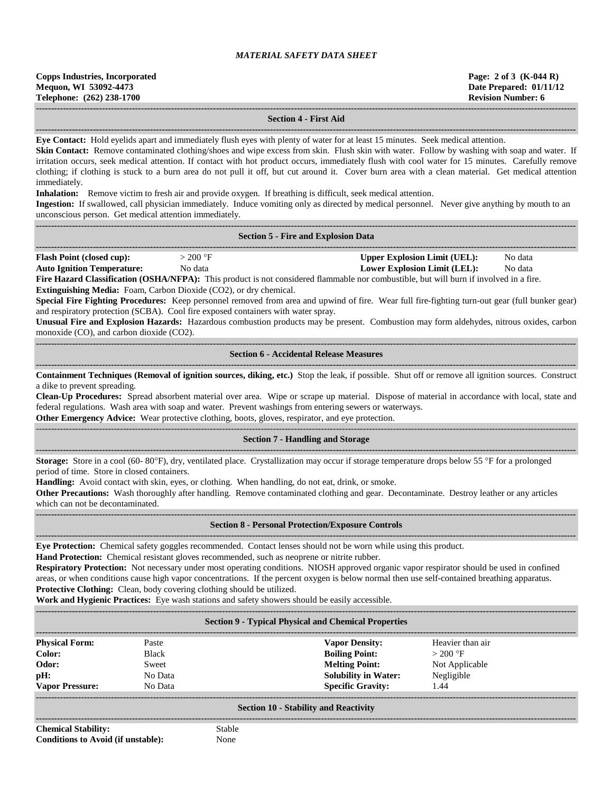#### **Section 4 - First Aid**

**------------------------------------------------------------------------------------------------------------------------------------------------------------------------------------ Eye Contact:** Hold eyelids apart and immediately flush eyes with plenty of water for at least 15 minutes. Seek medical attention.

Skin Contact: Remove contaminated clothing/shoes and wipe excess from skin. Flush skin with water. Follow by washing with soap and water. If irritation occurs, seek medical attention. If contact with hot product occurs, immediately flush with cool water for 15 minutes. Carefully remove clothing; if clothing is stuck to a burn area do not pull it off, but cut around it. Cover burn area with a clean material. Get medical attention immediately.

**Inhalation:** Remove victim to fresh air and provide oxygen. If breathing is difficult, seek medical attention.

**Ingestion:** If swallowed, call physician immediately. Induce vomiting only as directed by medical personnel. Never give anything by mouth to an unconscious person. Get medical attention immediately.

**------------------------------------------------------------------------------------------------------------------------------------------------------------------------------------**

|                                                                                                                                                                                                                                                                                                                                                                                                                                                                                                                                                                                                                                                                                                                                                                                                                                                  |                                                                        | <b>Section 5 - Fire and Explosion Data</b>                                                                                                                                                                                                                                                                                                                                                                                                                                                                                                                                                                      |  |  |  |  |
|--------------------------------------------------------------------------------------------------------------------------------------------------------------------------------------------------------------------------------------------------------------------------------------------------------------------------------------------------------------------------------------------------------------------------------------------------------------------------------------------------------------------------------------------------------------------------------------------------------------------------------------------------------------------------------------------------------------------------------------------------------------------------------------------------------------------------------------------------|------------------------------------------------------------------------|-----------------------------------------------------------------------------------------------------------------------------------------------------------------------------------------------------------------------------------------------------------------------------------------------------------------------------------------------------------------------------------------------------------------------------------------------------------------------------------------------------------------------------------------------------------------------------------------------------------------|--|--|--|--|
| <b>Flash Point (closed cup):</b><br><b>Upper Explosion Limit (UEL):</b><br>$>$ 200 °F<br>No data<br><b>Auto Ignition Temperature:</b><br><b>Lower Explosion Limit (LEL):</b><br>No data<br>No data<br>Fire Hazard Classification (OSHA/NFPA): This product is not considered flammable nor combustible, but will burn if involved in a fire.<br>Extinguishing Media: Foam, Carbon Dioxide (CO2), or dry chemical.<br>Special Fire Fighting Procedures: Keep personnel removed from area and upwind of fire. Wear full fire-fighting turn-out gear (full bunker gear)<br>and respiratory protection (SCBA). Cool fire exposed containers with water spray.<br>Unusual Fire and Explosion Hazards: Hazardous combustion products may be present. Combustion may form aldehydes, nitrous oxides, carbon<br>monoxide (CO), and carbon dioxide (CO2). |                                                                        |                                                                                                                                                                                                                                                                                                                                                                                                                                                                                                                                                                                                                 |  |  |  |  |
|                                                                                                                                                                                                                                                                                                                                                                                                                                                                                                                                                                                                                                                                                                                                                                                                                                                  |                                                                        | <b>Section 6 - Accidental Release Measures</b>                                                                                                                                                                                                                                                                                                                                                                                                                                                                                                                                                                  |  |  |  |  |
| a dike to prevent spreading.                                                                                                                                                                                                                                                                                                                                                                                                                                                                                                                                                                                                                                                                                                                                                                                                                     |                                                                        | Containment Techniques (Removal of ignition sources, diking, etc.) Stop the leak, if possible. Shut off or remove all ignition sources. Construct<br>Clean-Up Procedures: Spread absorbent material over area. Wipe or scrape up material. Dispose of material in accordance with local, state and<br>federal regulations. Wash area with soap and water. Prevent washings from entering sewers or waterways.<br>Other Emergency Advice: Wear protective clothing, boots, gloves, respirator, and eye protection.                                                                                               |  |  |  |  |
|                                                                                                                                                                                                                                                                                                                                                                                                                                                                                                                                                                                                                                                                                                                                                                                                                                                  |                                                                        | <b>Section 7 - Handling and Storage</b>                                                                                                                                                                                                                                                                                                                                                                                                                                                                                                                                                                         |  |  |  |  |
| period of time. Store in closed containers.<br>which can not be decontaminated.                                                                                                                                                                                                                                                                                                                                                                                                                                                                                                                                                                                                                                                                                                                                                                  |                                                                        | Storage: Store in a cool (60-80°F), dry, ventilated place. Crystallization may occur if storage temperature drops below 55 °F for a prolonged<br>Handling: Avoid contact with skin, eyes, or clothing. When handling, do not eat, drink, or smoke.<br>Other Precautions: Wash thoroughly after handling. Remove contaminated clothing and gear. Decontaminate. Destroy leather or any articles                                                                                                                                                                                                                  |  |  |  |  |
|                                                                                                                                                                                                                                                                                                                                                                                                                                                                                                                                                                                                                                                                                                                                                                                                                                                  |                                                                        | <b>Section 8 - Personal Protection/Exposure Controls</b>                                                                                                                                                                                                                                                                                                                                                                                                                                                                                                                                                        |  |  |  |  |
|                                                                                                                                                                                                                                                                                                                                                                                                                                                                                                                                                                                                                                                                                                                                                                                                                                                  | Protective Clothing: Clean, body covering clothing should be utilized. | Eye Protection: Chemical safety goggles recommended. Contact lenses should not be worn while using this product.<br>Hand Protection: Chemical resistant gloves recommended, such as neoprene or nitrite rubber.<br>Respiratory Protection: Not necessary under most operating conditions. NIOSH approved organic vapor respirator should be used in confined<br>areas, or when conditions cause high vapor concentrations. If the percent oxygen is below normal then use self-contained breathing apparatus.<br>Work and Hygienic Practices: Eye wash stations and safety showers should be easily accessible. |  |  |  |  |
|                                                                                                                                                                                                                                                                                                                                                                                                                                                                                                                                                                                                                                                                                                                                                                                                                                                  |                                                                        | <b>Section 9 - Typical Physical and Chemical Properties</b>                                                                                                                                                                                                                                                                                                                                                                                                                                                                                                                                                     |  |  |  |  |
| <b>Physical Form:</b><br>Color:<br>Odor:                                                                                                                                                                                                                                                                                                                                                                                                                                                                                                                                                                                                                                                                                                                                                                                                         | Paste<br><b>Black</b><br>Sweet                                         | <b>Vapor Density:</b><br>Heavier than air<br><b>Boiling Point:</b><br>$>200$ °F<br><b>Melting Point:</b><br>Not Applicable                                                                                                                                                                                                                                                                                                                                                                                                                                                                                      |  |  |  |  |

|                                                                           |                                                      | <b>Section 9 - Typical Physical and Chemical Properties</b>                                                                        |                                                                       |
|---------------------------------------------------------------------------|------------------------------------------------------|------------------------------------------------------------------------------------------------------------------------------------|-----------------------------------------------------------------------|
| <b>Physical Form:</b><br>Color:<br>Odor:<br>pH:<br><b>Vapor Pressure:</b> | Paste<br><b>Black</b><br>Sweet<br>No Data<br>No Data | <b>Vapor Density:</b><br><b>Boiling Point:</b><br><b>Melting Point:</b><br><b>Solubility in Water:</b><br><b>Specific Gravity:</b> | Heavier than air<br>$>200$ °F<br>Not Applicable<br>Negligible<br>1.44 |
| <b>Chemical Stability:</b>                                                | <b>Stable</b>                                        | <b>Section 10 - Stability and Reactivity</b>                                                                                       |                                                                       |

**Conditions to Avoid (if unstable):** None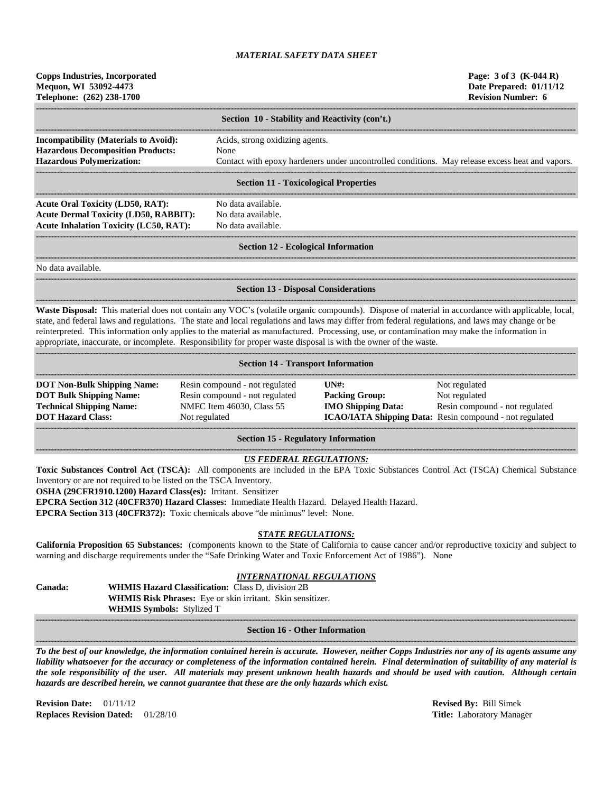| <b>Copps Industries, Incorporated</b><br>Mequon, WI 53092-4473<br>Telephone: (262) 238-1700                                                                                                                                                                                                                                                                                                                                                                                                                                                                             |                                                                                                                                                                                         |                                                                                                 | Page: 3 of 3 (K-044 R)<br>Date Prepared: 01/11/12<br><b>Revision Number: 6</b> |
|-------------------------------------------------------------------------------------------------------------------------------------------------------------------------------------------------------------------------------------------------------------------------------------------------------------------------------------------------------------------------------------------------------------------------------------------------------------------------------------------------------------------------------------------------------------------------|-----------------------------------------------------------------------------------------------------------------------------------------------------------------------------------------|-------------------------------------------------------------------------------------------------|--------------------------------------------------------------------------------|
|                                                                                                                                                                                                                                                                                                                                                                                                                                                                                                                                                                         | Section 10 - Stability and Reactivity (con't.)                                                                                                                                          |                                                                                                 |                                                                                |
| <b>Incompatibility (Materials to Avoid):</b>                                                                                                                                                                                                                                                                                                                                                                                                                                                                                                                            | Acids, strong oxidizing agents.                                                                                                                                                         |                                                                                                 |                                                                                |
| <b>Hazardous Decomposition Products:</b>                                                                                                                                                                                                                                                                                                                                                                                                                                                                                                                                | None                                                                                                                                                                                    |                                                                                                 |                                                                                |
| <b>Hazardous Polymerization:</b>                                                                                                                                                                                                                                                                                                                                                                                                                                                                                                                                        |                                                                                                                                                                                         | Contact with epoxy hardeners under uncontrolled conditions. May release excess heat and vapors. |                                                                                |
|                                                                                                                                                                                                                                                                                                                                                                                                                                                                                                                                                                         | <b>Section 11 - Toxicological Properties</b>                                                                                                                                            |                                                                                                 |                                                                                |
| <b>Acute Oral Toxicity (LD50, RAT):</b>                                                                                                                                                                                                                                                                                                                                                                                                                                                                                                                                 | No data available.                                                                                                                                                                      |                                                                                                 |                                                                                |
| <b>Acute Dermal Toxicity (LD50, RABBIT):</b>                                                                                                                                                                                                                                                                                                                                                                                                                                                                                                                            | No data available.                                                                                                                                                                      |                                                                                                 |                                                                                |
| <b>Acute Inhalation Toxicity (LC50, RAT):</b>                                                                                                                                                                                                                                                                                                                                                                                                                                                                                                                           | No data available.                                                                                                                                                                      |                                                                                                 |                                                                                |
|                                                                                                                                                                                                                                                                                                                                                                                                                                                                                                                                                                         | <b>Section 12 - Ecological Information</b>                                                                                                                                              |                                                                                                 |                                                                                |
| No data available.                                                                                                                                                                                                                                                                                                                                                                                                                                                                                                                                                      |                                                                                                                                                                                         |                                                                                                 |                                                                                |
|                                                                                                                                                                                                                                                                                                                                                                                                                                                                                                                                                                         | <b>Section 13 - Disposal Considerations</b>                                                                                                                                             |                                                                                                 |                                                                                |
| Waste Disposal: This material does not contain any VOC's (volatile organic compounds). Dispose of material in accordance with applicable, local,<br>state, and federal laws and regulations. The state and local regulations and laws may differ from federal regulations, and laws may change or be<br>reinterpreted. This information only applies to the material as manufactured. Processing, use, or contamination may make the information in<br>appropriate, inaccurate, or incomplete. Responsibility for proper waste disposal is with the owner of the waste. |                                                                                                                                                                                         |                                                                                                 |                                                                                |
|                                                                                                                                                                                                                                                                                                                                                                                                                                                                                                                                                                         | <b>Section 14 - Transport Information</b>                                                                                                                                               |                                                                                                 |                                                                                |
| <b>DOT Non-Bulk Shipping Name:</b>                                                                                                                                                                                                                                                                                                                                                                                                                                                                                                                                      | Resin compound - not regulated                                                                                                                                                          | UN#                                                                                             | Not regulated                                                                  |
| <b>DOT Bulk Shipping Name:</b>                                                                                                                                                                                                                                                                                                                                                                                                                                                                                                                                          | Resin compound - not regulated                                                                                                                                                          | <b>Packing Group:</b>                                                                           | Not regulated                                                                  |
| <b>Technical Shipping Name:</b><br><b>DOT Hazard Class:</b>                                                                                                                                                                                                                                                                                                                                                                                                                                                                                                             | NMFC Item 46030, Class 55<br>Not regulated                                                                                                                                              | <b>IMO Shipping Data:</b><br>ICAO/IATA Shipping Data: Resin compound - not regulated            | Resin compound - not regulated                                                 |
|                                                                                                                                                                                                                                                                                                                                                                                                                                                                                                                                                                         | <b>Section 15 - Regulatory Information</b>                                                                                                                                              |                                                                                                 |                                                                                |
| Toxic Substances Control Act (TSCA): All components are included in the EPA Toxic Substances Control Act (TSCA) Chemical Substance<br>Inventory or are not required to be listed on the TSCA Inventory.<br>OSHA (29CFR1910.1200) Hazard Class(es): Irritant. Sensitizer<br>EPCRA Section 312 (40CFR370) Hazard Classes: Immediate Health Hazard. Delayed Health Hazard.<br>EPCRA Section 313 (40CFR372): Toxic chemicals above "de minimus" level: None.                                                                                                                | <b>US FEDERAL REGULATIONS:</b>                                                                                                                                                          |                                                                                                 |                                                                                |
| California Proposition 65 Substances: (components known to the State of California to cause cancer and/or reproductive toxicity and subject to<br>warning and discharge requirements under the "Safe Drinking Water and Toxic Enforcement Act of 1986"). None                                                                                                                                                                                                                                                                                                           | <b>STATE REGULATIONS:</b>                                                                                                                                                               |                                                                                                 |                                                                                |
| Canada:                                                                                                                                                                                                                                                                                                                                                                                                                                                                                                                                                                 | <b>INTERNATIONAL REGULATIONS</b><br><b>WHMIS Hazard Classification:</b> Class D, division 2B<br>WHMIS Risk Phrases: Eye or skin irritant. Skin sensitizer.<br>WHMIS Symbols: Stylized T |                                                                                                 |                                                                                |
|                                                                                                                                                                                                                                                                                                                                                                                                                                                                                                                                                                         | <b>Section 16 - Other Information</b>                                                                                                                                                   |                                                                                                 |                                                                                |
| To the best of our knowledge, the information contained herein is accurate. However, neither Copps Industries nor any of its agents assume any<br>liability whatsoever for the accuracy or completeness of the information contained herein. Final determination of suitability of any material is                                                                                                                                                                                                                                                                      |                                                                                                                                                                                         |                                                                                                 |                                                                                |

*the sole responsibility of the user. All materials may present unknown health hazards and should be used with caution. Although certain hazards are described herein, we cannot guarantee that these are the only hazards which exist.*

**Revision Date:** 01/11/12 **Revised By:** Bill Simek **Replaces Revision Dated:** 01/28/10 **Title:** Laboratory Manager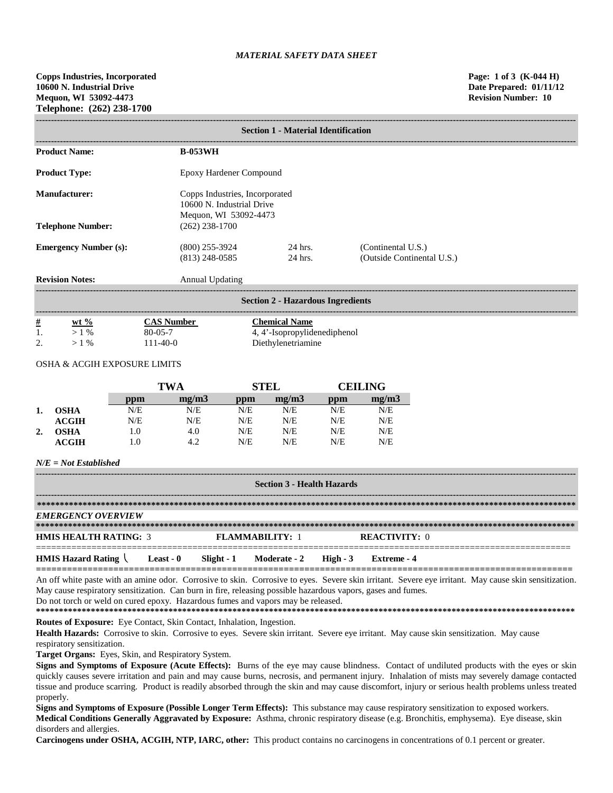|                                          | <b>Section 1 - Material Identification</b>                                           |                    |                                                  |  |
|------------------------------------------|--------------------------------------------------------------------------------------|--------------------|--------------------------------------------------|--|
| <b>Product Name:</b>                     | <b>B-053WH</b>                                                                       |                    |                                                  |  |
| <b>Product Type:</b>                     | Epoxy Hardener Compound                                                              |                    |                                                  |  |
| Manufacturer:                            | Copps Industries, Incorporated<br>10600 N. Industrial Drive<br>Mequon, WI 53092-4473 |                    |                                                  |  |
| <b>Telephone Number:</b>                 | $(262)$ 238-1700                                                                     |                    |                                                  |  |
| <b>Emergency Number (s):</b>             | $(800)$ 255-3924<br>$(813)$ 248-0585                                                 | 24 hrs.<br>24 hrs. | (Continental U.S.)<br>(Outside Continental U.S.) |  |
| <b>Revision Notes:</b>                   | <b>Annual Updating</b>                                                               |                    |                                                  |  |
| <b>Section 2 - Hazardous Ingredients</b> |                                                                                      |                    |                                                  |  |

| <u>#</u>             | $\frac{6}{9}$<br>wt | Number        | <b>Themical Name</b>         |
|----------------------|---------------------|---------------|------------------------------|
| . .                  | 0/2                 | $80 - 05 - 7$ | 4, 4'-Isopropylidenediphenol |
| $\gamma$<br><u>.</u> | 0/2                 | $1-40-0$      | Diethylenetriamine           |

### OSHA & ACGIH EXPOSURE LIMITS

|                |              | TWA |       | <b>STEL</b> |       | CEILING- |       |
|----------------|--------------|-----|-------|-------------|-------|----------|-------|
|                |              | ppm | mg/m3 | ppm         | mg/m3 | ppm      | mg/m3 |
|                | <b>OSHA</b>  | N/E | N/E   | N/E         | N/E   | N/E      | N/E   |
|                | ACGIH        | N/E | N/E   | N/E         | N/E   | N/E      | N/E   |
| $\overline{2}$ | OSHA         | 1.0 | 4.0   | N/E         | N/E   | N/E      | N/E   |
|                | <b>ACGIH</b> | 1.0 | 4.2   | N/E         | N/E   | N/E      | N/E   |

### *N/E = Not Established*

| <b>Section 3 - Health Hazards</b>              |                  |            |                        |          |                      |
|------------------------------------------------|------------------|------------|------------------------|----------|----------------------|
|                                                |                  |            |                        |          |                      |
| <b>EMERGENCY OVERVIEW</b>                      |                  |            |                        |          |                      |
|                                                |                  |            |                        |          |                      |
| <b>HMIS HEALTH RATING: 3</b>                   |                  |            | <b>FLAMMARILITY: 1</b> |          | <b>REACTIVITY: 0</b> |
| <b>HMIS Hazard Rating <math>\langle</math></b> | <b>Least - 0</b> | Slight - 1 | Moderate - 2           | $High-3$ | Extreme - 4          |

**========================================================================================================** An off white paste with an amine odor. Corrosive to skin. Corrosive to eyes. Severe skin irritant. Severe eye irritant. May cause skin sensitization. May cause respiratory sensitization. Can burn in fire, releasing possible hazardous vapors, gases and fumes. Do not torch or weld on cured epoxy. Hazardous fumes and vapors may be released.

**\*\*\*\*\*\*\*\*\*\*\*\*\*\*\*\*\*\*\*\*\*\*\*\*\*\*\*\*\*\*\*\*\*\*\*\*\*\*\*\*\*\*\*\*\*\*\*\*\*\*\*\*\*\*\*\*\*\*\*\*\*\*\*\*\*\*\*\*\*\*\*\*\*\*\*\*\*\*\*\*\*\*\*\*\*\*\*\*\*\*\*\*\*\*\*\*\*\*\*\*\*\*\*\*\*\*\*\*\*\*\*\*\*\*\*\*\*\***

**Routes of Exposure:** Eye Contact, Skin Contact, Inhalation, Ingestion.

Health Hazards: Corrosive to skin. Corrosive to eyes. Severe skin irritant. Severe eye irritant. May cause skin sensitization. May cause respiratory sensitization.

**Target Organs:** Eyes, Skin, and Respiratory System.

**Signs and Symptoms of Exposure (Acute Effects):** Burns of the eye may cause blindness. Contact of undiluted products with the eyes or skin quickly causes severe irritation and pain and may cause burns, necrosis, and permanent injury. Inhalation of mists may severely damage contacted tissue and produce scarring. Product is readily absorbed through the skin and may cause discomfort, injury or serious health problems unless treated properly.

**Signs and Symptoms of Exposure (Possible Longer Term Effects):** This substance may cause respiratory sensitization to exposed workers. **Medical Conditions Generally Aggravated by Exposure:** Asthma, chronic respiratory disease (e.g. Bronchitis, emphysema). Eye disease, skin disorders and allergies.

**Carcinogens under OSHA, ACGIH, NTP, IARC, other:** This product contains no carcinogens in concentrations of 0.1 percent or greater.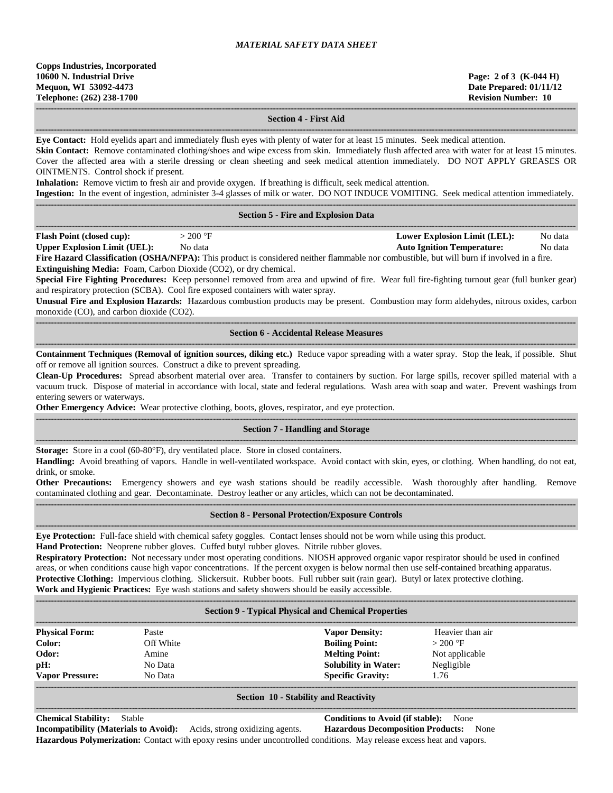**------------------------------------------------------------------------------------------------------------------------------------------------------------------------------------**

#### **Section 4 - First Aid**

**Eye Contact:** Hold eyelids apart and immediately flush eyes with plenty of water for at least 15 minutes. Seek medical attention.

**------------------------------------------------------------------------------------------------------------------------------------------------------------------------------------**

**Skin Contact:** Remove contaminated clothing/shoes and wipe excess from skin. Immediately flush affected area with water for at least 15 minutes. Cover the affected area with a sterile dressing or clean sheeting and seek medical attention immediately. DO NOT APPLY GREASES OR OINTMENTS. Control shock if present. **Inhalation:** Remove victim to fresh air and provide oxygen. If breathing is difficult, seek medical attention. **Ingestion:** In the event of ingestion, administer 3-4 glasses of milk or water. DO NOT INDUCE VOMITING. Seek medical attention immediately. **------------------------------------------------------------------------------------------------------------------------------------------------------------------------------------ Section 5 - Fire and Explosion Data ------------------------------------------------------------------------------------------------------------------------------------------------------------------------------------ Flash Point (closed cup):**  $> 200 \text{ °F}$  **Lower Explosion Limit (LEL):** No data **Upper Explosion Limit (UEL):** No data **Auto Ignition Temperature:** No data **Fire Hazard Classification (OSHA/NFPA):** This product is considered neither flammable nor combustible, but will burn if involved in a fire. **Extinguishing Media:** Foam, Carbon Dioxide (CO2), or dry chemical. **Special Fire Fighting Procedures:** Keep personnel removed from area and upwind of fire. Wear full fire-fighting turnout gear (full bunker gear) and respiratory protection (SCBA). Cool fire exposed containers with water spray. **Unusual Fire and Explosion Hazards:** Hazardous combustion products may be present. Combustion may form aldehydes, nitrous oxides, carbon monoxide (CO), and carbon dioxide (CO2). **------------------------------------------------------------------------------------------------------------------------------------------------------------------------------------ Section 6 - Accidental Release Measures ------------------------------------------------------------------------------------------------------------------------------------------------------------------------------------ Containment Techniques (Removal of ignition sources, diking etc.)** Reduce vapor spreading with a water spray. Stop the leak, if possible. Shut off or remove all ignition sources. Construct a dike to prevent spreading. **Clean-Up Procedures:** Spread absorbent material over area. Transfer to containers by suction. For large spills, recover spilled material with a vacuum truck. Dispose of material in accordance with local, state and federal regulations. Wash area with soap and water. Prevent washings from entering sewers or waterways. **Other Emergency Advice:** Wear protective clothing, boots, gloves, respirator, and eye protection. **------------------------------------------------------------------------------------------------------------------------------------------------------------------------------------ Section 7 - Handling and Storage ------------------------------------------------------------------------------------------------------------------------------------------------------------------------------------ Storage:** Store in a cool (60-80°F), dry ventilated place. Store in closed containers. **Handling:** Avoid breathing of vapors. Handle in well-ventilated workspace. Avoid contact with skin, eyes, or clothing. When handling, do not eat, drink, or smoke. **Other Precautions:** Emergency showers and eye wash stations should be readily accessible. Wash thoroughly after handling. Remove contaminated clothing and gear. Decontaminate. Destroy leather or any articles, which can not be decontaminated. **------------------------------------------------------------------------------------------------------------------------------------------------------------------------------------ Section 8 - Personal Protection/Exposure Controls ------------------------------------------------------------------------------------------------------------------------------------------------------------------------------------ Eye Protection:** Full-face shield with chemical safety goggles. Contact lenses should not be worn while using this product. **Hand Protection:** Neoprene rubber gloves. Cuffed butyl rubber gloves. Nitrile rubber gloves. **Respiratory Protection:** Not necessary under most operating conditions. NIOSH approved organic vapor respirator should be used in confined areas, or when conditions cause high vapor concentrations. If the percent oxygen is below normal then use self-contained breathing apparatus. **Protective Clothing:** Impervious clothing. Slickersuit. Rubber boots. Full rubber suit (rain gear). Butyl or latex protective clothing. **Work and Hygienic Practices:** Eye wash stations and safety showers should be easily accessible. **------------------------------------------------------------------------------------------------------------------------------------------------------------------------------------ Section 9 - Typical Physical and Chemical Properties ------------------------------------------------------------------------------------------------------------------------------------------------------------------------------------ Physical Form:** Paste **Vapor Density:** Heavier than air **Color:** Off White **Boiling Point:**  $> 200 \text{ }^{\circ}\text{F}$ **Odor:** Amine **Melting Point:** Not applicable **pH:** No Data **Solubility in Water:** Negligible **Vapor Pressure:** No Data **Specific Gravity:** 1.76 **------------------------------------------------------------------------------------------------------------------------------------------------------------------------------------ Section 10 - Stability and Reactivity ------------------------------------------------------------------------------------------------------------------------------------------------------------------------------------**

#### **Chemical Stability:** Stable **Conditions to Avoid (if stable):** None

**Incompatibility (Materials to Avoid):** Acids, strong oxidizing agents. **Hazardous Decomposition Products:** None **Hazardous Polymerization:** Contact with epoxy resins under uncontrolled conditions. May release excess heat and vapors.